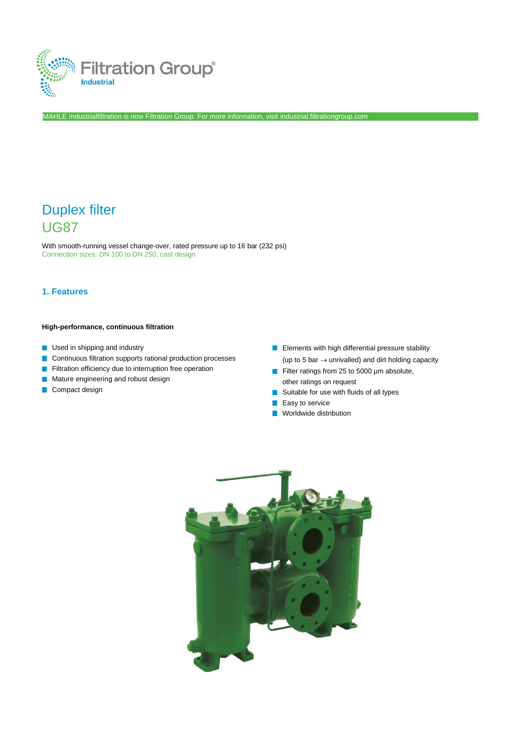

MAHLE Industrialfiltration is now Filtration Group. For more information, visi[t industrial.filtrationgroup.com](http://www.fluid.filtrationgroup.com/)

# Duplex filter UG87

With smooth-running vessel change-over, rated pressure up to 16 bar (232 psi) Connection sizes: DN 100 to DN 250, cast design

### **1. Features**

#### **High-performance, continuous filtration**

- **Used in shipping and industry**
- Continuous filtration supports rational production processes
- Filtration efficiency due to interruption free operation  $\mathcal{C}^{\mathcal{A}}$
- Mature engineering and robust design  $\overline{\phantom{a}}$
- **Compact design**
- **E** Elements with high differential pressure stability (up to 5 bar  $\rightarrow$  unrivalled) and dirt holding capacity
- Filter ratings from 25 to 5000 µm absolute, other ratings on request
- Suitable for use with fluids of all types  $\mathcal{C}^{\mathcal{A}}$
- $\blacksquare$  Easy to service
- **Norldwide distribution**

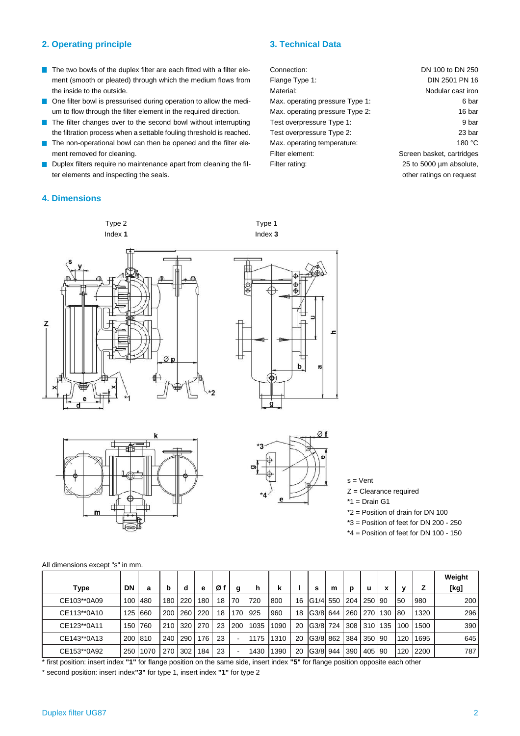#### **2. Operating principle 3. Technical Data**

- $\blacksquare$  The two bowls of the duplex filter are each fitted with a filter element (smooth or pleated) through which the medium flows from the inside to the outside.
- One filter bowl is pressurised during operation to allow the medium to flow through the filter element in the required direction.
- The filter changes over to the second bowl without interrupting the filtration process when a settable fouling threshold is reached.
- The non-operational bowl can then be opened and the filter element removed for cleaning.
- Duplex filters require no maintenance apart from cleaning the filter elements and inspecting the seals.

Type 2 Index **1**

## **4. Dimensions**

Connection: Flange Type 1: Material: Max. operating pressure Type 1: Max. operating pressure Type 2: Test overpressure Type 1: Test overpressure Type 2: Max. operating temperature: Filter element: Filter rating: DN 100 to DN 250 DIN 2501 PN 16 Nodular cast iron Screen basket, cartridges 25 to 5000 µm absolute,

6 bar 16 bar 9 bar 23 bar 180 °C

other ratings on request

H z Øp



Type 1 Index **3**





s = Vent

Z = Clearance required

 $*1 = Drain G1$ 

\*2 = Position of drain for DN 100

- \*3 = Position of feet for DN 200 250
- $*4$  = Position of feet for DN 100 150

|  | All dimensions except "s" in mm. |  |  |  |  |
|--|----------------------------------|--|--|--|--|
|--|----------------------------------|--|--|--|--|

|             |                  |           |     |     |     |    |     |      |      |    |            |     |     |          |     |     |      | Weight |
|-------------|------------------|-----------|-----|-----|-----|----|-----|------|------|----|------------|-----|-----|----------|-----|-----|------|--------|
| Type        | <b>DN</b>        | a         | b   | d   | е   | Ø1 | g   | h    | k    |    | s          | m   | D   | u        |     | v   |      | [kg]   |
| CE103**0A09 | 100 <sup>1</sup> | 480       | 180 | 220 | 180 | 18 | 70  | 720  | 800  | 16 | IG1/4l 550 |     | 204 | 250      | 190 | 50  | 980  | 200    |
| CE113**0A10 |                  | 125 660   | 200 | 260 | 220 | 18 | 170 | 925  | 960  | 18 | IG3/8 644  |     | 260 | 270      | 130 | 180 | 1320 | 296    |
| CE123**0A11 |                  | 150 760   | 210 | 320 | 270 | 23 | 200 | 1035 | 1090 | 20 | IG3/8I     | 724 |     | 308 310  | 135 | 100 | 1500 | 390    |
| CE143**0A13 |                  | 200   810 | 240 | 290 | 176 | 23 |     | 1175 | 1310 | 20 | IG3/8I     | 862 | 384 | 350      | 190 | 120 | 1695 | 645    |
| CE153**0A92 | 250              | 1070      | 270 | 302 | 184 | 23 |     | 1430 | 1390 | 20 | IG3/8I     | 944 | 390 | 405   90 |     | 120 | 2200 | 787    |

\* first position: insert index **"1"** for flange position on the same side, insert index **"5"** for flange position opposite each other

\* second position: insert index**"3"** for type 1, insert index **"1"** for type 2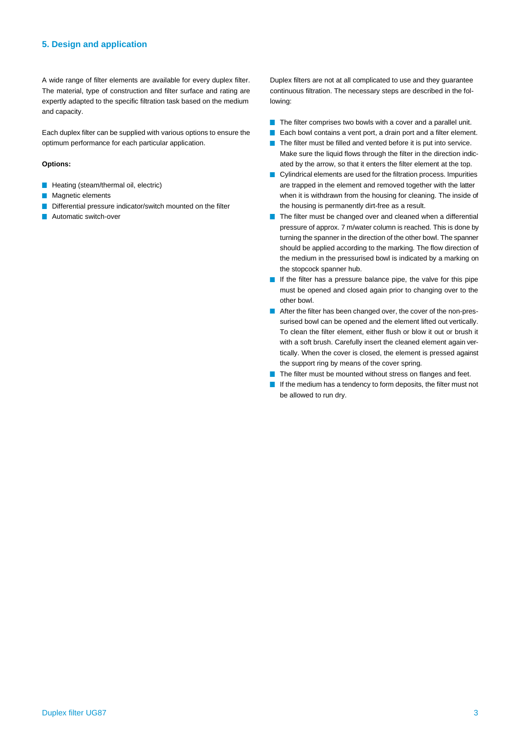#### **5. Design and application**

A wide range of filter elements are available for every duplex filter. The material, type of construction and filter surface and rating are expertly adapted to the specific filtration task based on the medium and capacity.

Each duplex filter can be supplied with various options to ensure the optimum performance for each particular application.

#### **Options:**

- **Heating (steam/thermal oil, electric)**
- Magnetic elements  $\mathcal{A}$
- Differential pressure indicator/switch mounted on the filter
- Automatic switch-over

Duplex filters are not at all complicated to use and they guarantee continuous filtration. The necessary steps are described in the following:

- $\blacksquare$  The filter comprises two bowls with a cover and a parallel unit.
- Each bowl contains a vent port, a drain port and a filter element. T.
- The filter must be filled and vented before it is put into service. T Make sure the liquid flows through the filter in the direction indicated by the arrow, so that it enters the filter element at the top.
- Cylindrical elements are used for the filtration process. Impurities are trapped in the element and removed together with the latter when it is withdrawn from the housing for cleaning. The inside of the housing is permanently dirt-free as a result.
- The filter must be changed over and cleaned when a differential **T** pressure of approx. 7 m/water column is reached. This is done by turning the spanner in the direction of the other bowl. The spanner should be applied according to the marking. The flow direction of the medium in the pressurised bowl is indicated by a marking on the stopcock spanner hub.
- If the filter has a pressure balance pipe, the valve for this pipe must be opened and closed again prior to changing over to the other bowl.
- After the filter has been changed over, the cover of the non-pressurised bowl can be opened and the element lifted out vertically. To clean the filter element, either flush or blow it out or brush it with a soft brush. Carefully insert the cleaned element again vertically. When the cover is closed, the element is pressed against the support ring by means of the cover spring.
- The filter must be mounted without stress on flanges and feet.
- $\blacksquare$  If the medium has a tendency to form deposits, the filter must not be allowed to run dry.